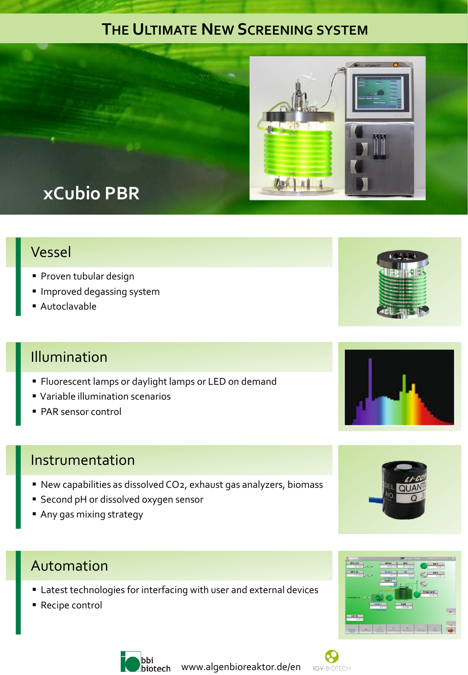## **THE ULTIMATE NEW SCREENING SYSTEM**



# **xCubio PBR**

#### Vessel

- **Proven tubular design**
- **Improved degassing system**
- Autoclavable

#### Illumination

- **Fluorescent lamps or daylight lamps or LED on demand**
- Variable illumination scenarios
- PAR sensor control

#### Instrumentation

- New capabilities as dissolved CO2, exhaust gas analyzers, biomass
- **Second pH or dissolved oxygen sensor**
- Any gas mixing strategy

#### Automation

- Latest technologies for interfacing with user and external devices
- Recipe control





biotech www.algenbioreaktor.de/en